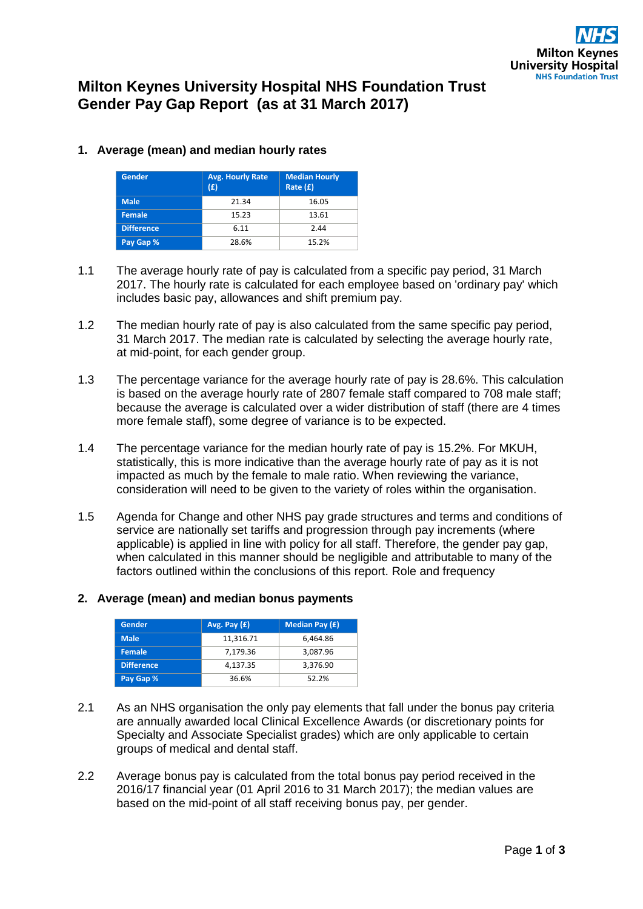# **Milton Keynes University Hospital NHS Foundation Trust Gender Pay Gap Report (as at 31 March 2017)**

| Gender            | <b>Avg. Hourly Rate</b><br>(E) | <b>Median Hourly</b><br>Rate $(f)$ |  |
|-------------------|--------------------------------|------------------------------------|--|
| <b>Male</b>       | 21.34                          | 16.05                              |  |
| <b>Female</b>     | 15.23                          | 13.61                              |  |
| <b>Difference</b> | 6.11                           | 2.44                               |  |
| Pay Gap %         | 28.6%                          | 15.2%                              |  |

## **1. Average (mean) and median hourly rates**

- 1.1 The average hourly rate of pay is calculated from a specific pay period, 31 March 2017. The hourly rate is calculated for each employee based on 'ordinary pay' which includes basic pay, allowances and shift premium pay.
- 1.2 The median hourly rate of pay is also calculated from the same specific pay period, 31 March 2017. The median rate is calculated by selecting the average hourly rate, at mid-point, for each gender group.
- 1.3 The percentage variance for the average hourly rate of pay is 28.6%. This calculation is based on the average hourly rate of 2807 female staff compared to 708 male staff; because the average is calculated over a wider distribution of staff (there are 4 times more female staff), some degree of variance is to be expected.
- 1.4 The percentage variance for the median hourly rate of pay is 15.2%. For MKUH, statistically, this is more indicative than the average hourly rate of pay as it is not impacted as much by the female to male ratio. When reviewing the variance, consideration will need to be given to the variety of roles within the organisation.
- 1.5 Agenda for Change and other NHS pay grade structures and terms and conditions of service are nationally set tariffs and progression through pay increments (where applicable) is applied in line with policy for all staff. Therefore, the gender pay gap, when calculated in this manner should be negligible and attributable to many of the factors outlined within the conclusions of this report. Role and frequency

### **2. Average (mean) and median bonus payments**

| Gender            | Avg. Pay $(E)$ | Median Pay (£) |
|-------------------|----------------|----------------|
| <b>Male</b>       | 11,316.71      | 6.464.86       |
| <b>Female</b>     | 7,179.36       | 3,087.96       |
| <b>Difference</b> | 4,137.35       | 3.376.90       |
| Pay Gap %         | 36.6%          | 52.2%          |

- 2.1 As an NHS organisation the only pay elements that fall under the bonus pay criteria are annually awarded local Clinical Excellence Awards (or discretionary points for Specialty and Associate Specialist grades) which are only applicable to certain groups of medical and dental staff.
- 2.2 Average bonus pay is calculated from the total bonus pay period received in the 2016/17 financial year (01 April 2016 to 31 March 2017); the median values are based on the mid-point of all staff receiving bonus pay, per gender.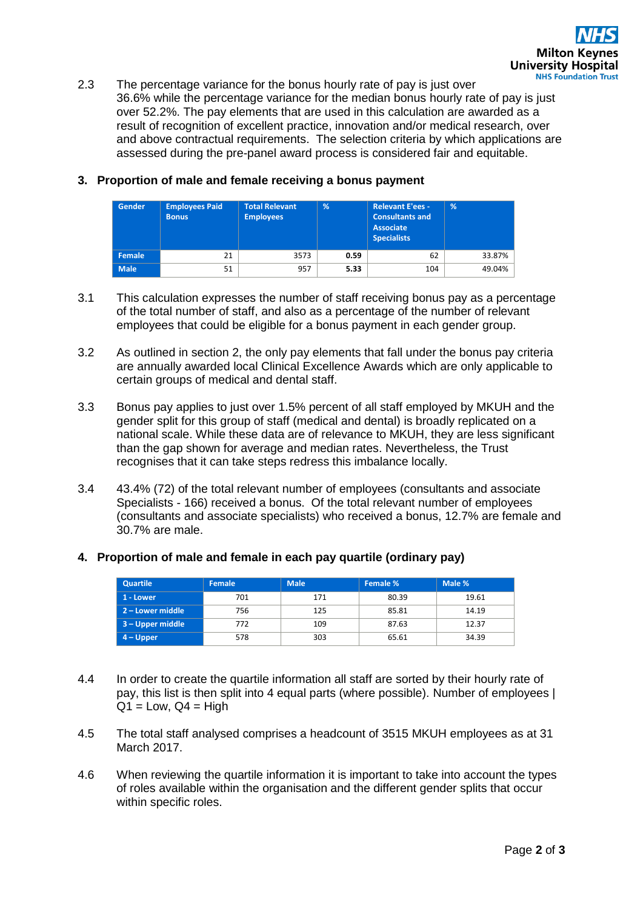2.3 The percentage variance for the bonus hourly rate of pay is just over 36.6% while the percentage variance for the median bonus hourly rate of pay is just over 52.2%. The pay elements that are used in this calculation are awarded as a result of recognition of excellent practice, innovation and/or medical research, over and above contractual requirements. The selection criteria by which applications are assessed during the pre-panel award process is considered fair and equitable.

## **3. Proportion of male and female receiving a bonus payment**

| Gender      | <b>Employees Paid</b><br><b>Bonus</b> | <b>Total Relevant</b><br><b>Employees</b> | %    | <b>Relevant E'ees -</b><br><b>Consultants and</b><br>Associate<br><b>Specialists</b> | %      |
|-------------|---------------------------------------|-------------------------------------------|------|--------------------------------------------------------------------------------------|--------|
| Female      | 21                                    | 3573                                      | 0.59 | 62                                                                                   | 33.87% |
| <b>Male</b> | 51                                    | 957                                       | 5.33 | 104                                                                                  | 49.04% |

- 3.1 This calculation expresses the number of staff receiving bonus pay as a percentage of the total number of staff, and also as a percentage of the number of relevant employees that could be eligible for a bonus payment in each gender group.
- 3.2 As outlined in section 2, the only pay elements that fall under the bonus pay criteria are annually awarded local Clinical Excellence Awards which are only applicable to certain groups of medical and dental staff.
- 3.3 Bonus pay applies to just over 1.5% percent of all staff employed by MKUH and the gender split for this group of staff (medical and dental) is broadly replicated on a national scale. While these data are of relevance to MKUH, they are less significant than the gap shown for average and median rates. Nevertheless, the Trust recognises that it can take steps redress this imbalance locally.
- 3.4 43.4% (72) of the total relevant number of employees (consultants and associate Specialists - 166) received a bonus. Of the total relevant number of employees (consultants and associate specialists) who received a bonus, 12.7% are female and 30.7% are male.

### **4. Proportion of male and female in each pay quartile (ordinary pay)**

| Quartile         | <b>Female</b> | <b>Male</b> | Female % | Male % |
|------------------|---------------|-------------|----------|--------|
| 1 - Lower        | 701           | 171         | 80.39    | 19.61  |
| 2 – Lower middle | 756           | 125         | 85.81    | 14.19  |
| 3 – Upper middle | 772           | 109         | 87.63    | 12.37  |
| $ $ 4 – Upper    | 578           | 303         | 65.61    | 34.39  |

- 4.4 In order to create the quartile information all staff are sorted by their hourly rate of pay, this list is then split into 4 equal parts (where possible). Number of employees |  $Q1 = Low$ .  $Q4 = High$
- 4.5 The total staff analysed comprises a headcount of 3515 MKUH employees as at 31 March 2017.
- 4.6 When reviewing the quartile information it is important to take into account the types of roles available within the organisation and the different gender splits that occur within specific roles.